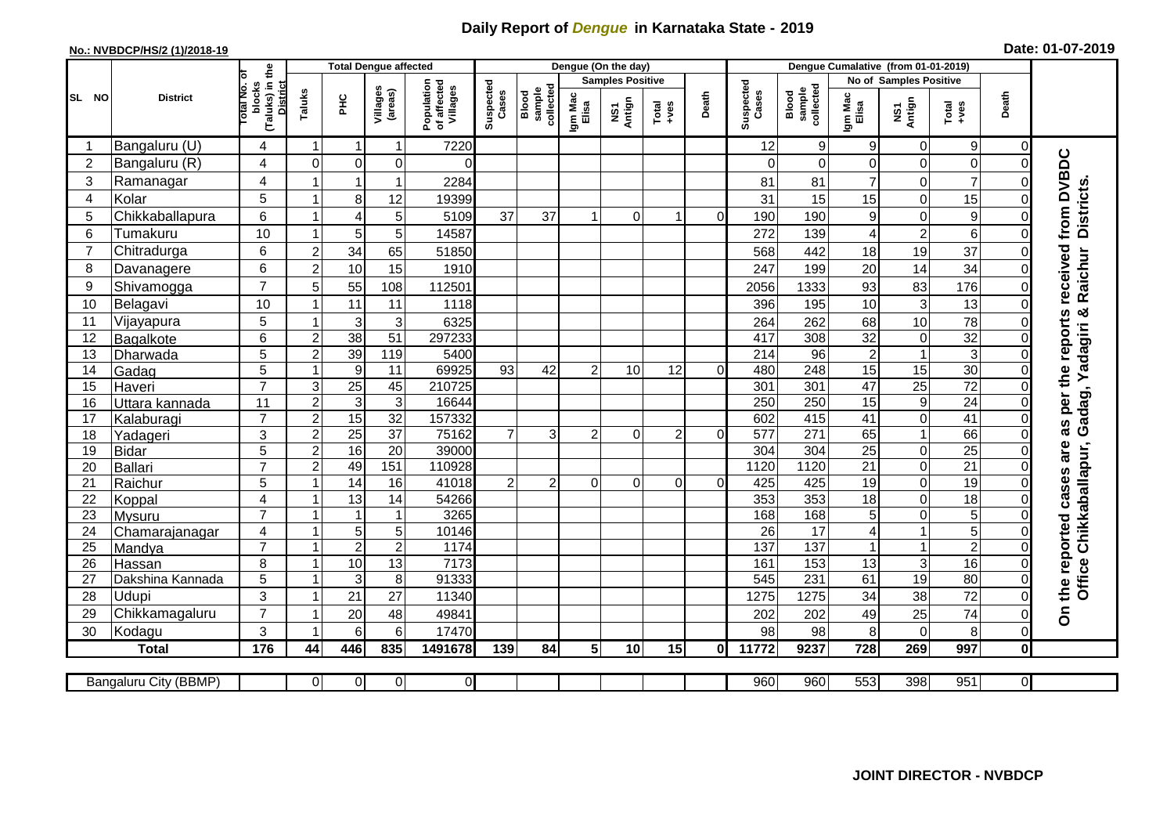## **Daily Report of** *Dengue* **in Karnataka State - 2019**

## **No.: NVBDCP/HS/2 (1)/2018-19 Date: 01-07-2019**

|                |                          |                                                   |                     |                                | <b>Total Dengue affected</b>   |                                       |                    |                              |                         | Dengue (On the day) |                |          |                    |                              |                        |                                  |                                  |                      |                                  |
|----------------|--------------------------|---------------------------------------------------|---------------------|--------------------------------|--------------------------------|---------------------------------------|--------------------|------------------------------|-------------------------|---------------------|----------------|----------|--------------------|------------------------------|------------------------|----------------------------------|----------------------------------|----------------------|----------------------------------|
|                | <b>District</b>          | ō                                                 |                     |                                |                                |                                       |                    |                              | <b>Samples Positive</b> |                     |                |          |                    |                              | No of Samples Positive |                                  |                                  |                      |                                  |
| SL NO          |                          | (Taluks) in the<br>District<br>otal No.<br>blocks | Taluks              | Ξ                              | Villages<br>(areas)            | Population<br>of affected<br>Villages | Suspected<br>Cases | Blood<br>sample<br>collected | Igm Mac<br>Elisa        | NS1<br>Antign       | Total<br>+ves  | Death    | Suspected<br>Cases | sample<br>collected<br>Blood | Igm Mac<br>Elisa       | NS1<br>Antign                    | Total<br>$+ve$ s                 | Death                |                                  |
|                | Bangaluru (U)            | 4                                                 | $\mathbf{1}$        | $\mathbf{1}$                   | $\mathbf 1$                    | 7220                                  |                    |                              |                         |                     |                |          | 12                 | 9                            | 9                      | $\mathbf 0$                      | 9                                | $\Omega$             |                                  |
| $\overline{2}$ | Bangaluru (R)            | 4                                                 | $\mathbf 0$         | $\Omega$                       | 0                              | $\Omega$                              |                    |                              |                         |                     |                |          | $\Omega$           | $\Omega$                     | $\Omega$               | $\mathbf 0$                      | 0                                | 0                    |                                  |
| 3              | Ramanagar                | 4                                                 |                     | 1                              | $\overline{1}$                 | 2284                                  |                    |                              |                         |                     |                |          | 81                 | 81                           | $\overline{7}$         | $\mathbf 0$                      | $\overline{7}$                   |                      | from DVBDC                       |
| 4              | Kolar                    | 5                                                 | 1                   | 8                              | 12                             | 19399                                 |                    |                              |                         |                     |                |          | 31                 | 15                           | 15                     | $\mathbf 0$                      | 15                               | $\mathbf 0$          |                                  |
| 5              | Chikkaballapura          | 6                                                 | -1                  | 4                              | 5                              | 5109                                  | 37                 | 37                           |                         | $\Omega$            |                | $\Omega$ | 190                | 190                          | 9                      | $\pmb{0}$                        | 9                                | $\Omega$             | <b>Districts</b>                 |
| 6              | Tumakuru                 | 10                                                | 1                   | 5                              | 5                              | 14587                                 |                    |                              |                         |                     |                |          | 272                | 139                          | 4                      | $\boldsymbol{2}$                 | 6                                | $\Omega$             |                                  |
| $\overline{7}$ | Chitradurga              | 6                                                 | $\overline{c}$      | 34                             | 65                             | 51850                                 |                    |                              |                         |                     |                |          | 568                | 442                          | 18                     | 19                               | 37                               | 0                    |                                  |
| 8              | Davanagere               | 6                                                 | $\overline{c}$      | 10                             | 15                             | 1910                                  |                    |                              |                         |                     |                |          | 247                | 199                          | 20                     | 14                               | 34                               | $\overline{0}$       |                                  |
| 9              | Shivamogga               | $\overline{7}$                                    | 5                   | 55                             | 108                            | 112501                                |                    |                              |                         |                     |                |          | 2056               | 1333                         | 93                     | 83                               | 176                              | $\Omega$             | received<br>Raichur              |
| 10             | Belagavi                 | 10                                                |                     | $\overline{11}$                | 11                             | 1118                                  |                    |                              |                         |                     |                |          | 396                | 195                          | 10                     | $\mathbf{3}$                     | 13                               | $\Omega$             |                                  |
| 11             | Vijayapura               | 5                                                 | 1                   | $\ensuremath{\mathsf{3}}$      | $\mathbf{3}$                   | 6325                                  |                    |                              |                         |                     |                |          | 264                | 262                          | 68                     | 10                               | 78                               | $\Omega$             | න්<br>as per the reports         |
| 12             | Bagalkote                | 6                                                 | $\overline{a}$      | 38                             | 51                             | 297233                                |                    |                              |                         |                     |                |          | 417                | 308                          | $\overline{32}$        | $\mathbf 0$                      | $\overline{32}$                  | $\Omega$             | adagiri                          |
| 13             | Dharwada                 | 5                                                 | $\overline{2}$      | 39                             | 119                            | 5400                                  |                    |                              |                         |                     |                |          | 214                | 96                           | $\overline{c}$         | $\mathbf{1}$                     | 3                                | 0                    |                                  |
| 14             | Gadag                    | $\overline{5}$                                    | 1                   | $\overline{9}$                 | 11                             | 69925                                 | 93                 | 42                           | $\overline{2}$          | 10                  | 12             | $\Omega$ | 480                | 248                          | 15                     | 15                               | 30                               | 0                    | ≻                                |
| 15             | Haveri                   | $\overline{7}$                                    | 3                   | $\overline{25}$                | 45                             | 210725                                |                    |                              |                         |                     |                |          | 301                | 301                          | $\overline{47}$        | $\overline{25}$                  | $\overline{72}$                  | $\overline{0}$       |                                  |
| 16             | Uttara kannada           | 11                                                | $\overline{2}$      | $\overline{3}$                 | $\overline{3}$                 | 16644                                 |                    |                              |                         |                     |                |          | 250                | 250                          | 15                     | $\overline{9}$                   | $\overline{24}$                  | $\mathbf 0$          | Gadag,                           |
| 17             | Kalaburagi               | $\overline{7}$                                    | $\overline{a}$      | 15                             | 32                             | 157332                                |                    |                              |                         |                     |                |          | 602                | 415                          | 41                     | $\mathbf 0$                      | 41                               | 0                    |                                  |
| 18             | Yadageri                 | 3                                                 | $\overline{2}$      | $\overline{25}$                | $\overline{37}$                | 75162                                 | $\overline{7}$     | 3                            | $\mathcal{P}$           | $\Omega$            | $\overline{2}$ | $\Omega$ | 577                | 271                          | 65                     | $\mathbf{1}$                     | 66                               | $\overline{0}$       |                                  |
| 19             | <b>Bidar</b>             | $\overline{5}$                                    | $\overline{2}$      | 16                             | $\overline{20}$                | 39000                                 |                    |                              |                         |                     |                |          | 304                | 304                          | $\overline{25}$        | $\pmb{0}$                        | $\overline{25}$                  | $\Omega$             |                                  |
| 20             | <b>Ballari</b>           | $\overline{7}$                                    | $\overline{c}$      | 49                             | 151                            | 110928                                |                    |                              |                         |                     |                |          | 1120               | 1120                         | $\overline{21}$        | $\pmb{0}$                        | 21                               | 0                    |                                  |
| 21             | Raichur                  | 5                                                 | $\mathbf{1}$        | $\overline{14}$                | 16                             | 41018                                 | $\overline{2}$     | $\mathcal{P}$                | $\Omega$                | $\Omega$            | $\Omega$       | $\Omega$ | 425                | 425                          | $\overline{19}$        | $\mathbf 0$                      | $\overline{19}$                  | $\overline{0}$       |                                  |
| 22             | Koppal                   | $\overline{4}$<br>$\overline{7}$                  | 1<br>$\overline{1}$ | 13                             | 14                             | 54266                                 |                    |                              |                         |                     |                |          | 353                | 353                          | 18                     | $\mathbf 0$                      | 18                               | $\Omega$             |                                  |
| 23<br>24       | Mysuru                   | 4                                                 |                     | $\mathbf{1}$<br>$\overline{5}$ | $\mathbf{1}$<br>$\overline{5}$ | 3265<br>10146                         |                    |                              |                         |                     |                |          | 168<br>26          | 168<br>17                    | 5<br>4                 | $\boldsymbol{0}$<br>$\mathbf{1}$ | $\overline{5}$<br>$\overline{5}$ | $\Omega$<br>$\Omega$ |                                  |
| 25             | Chamarajanagar<br>Mandya | $\overline{7}$                                    | 1                   | $\overline{2}$                 | $\overline{2}$                 | 1174                                  |                    |                              |                         |                     |                |          | 137                | 137                          |                        | $\mathbf{1}$                     | $\overline{2}$                   | $\mathbf 0$          | Chikkaballapur,                  |
| 26             | Hassan                   | 8                                                 | 1                   | 10                             | 13                             | 7173                                  |                    |                              |                         |                     |                |          | 161                | 153                          | 13                     | $\mathsf 3$                      | 16                               | $\mathbf 0$          |                                  |
| 27             | Dakshina Kannada         | 5                                                 | $\mathbf{1}$        | 3                              | 8                              | 91333                                 |                    |                              |                         |                     |                |          | 545                | 231                          | 61                     | $\overline{19}$                  | 80                               | $\mathbf 0$          |                                  |
| 28             | Udupi                    | 3                                                 | $\mathbf{1}$        | 21                             | 27                             | 11340                                 |                    |                              |                         |                     |                |          | 1275               | 1275                         | 34                     | 38                               | 72                               | $\mathbf 0$          | the reported cases are<br>Office |
| 29             | Chikkamagaluru           | $\overline{7}$                                    | -1                  | 20                             | 48                             | 49841                                 |                    |                              |                         |                     |                |          | 202                | 202                          | 49                     | 25                               | 74                               | $\overline{0}$       | င်္                              |
| 30             | Kodagu                   | 3                                                 | 1                   | 6                              | 6                              | 17470                                 |                    |                              |                         |                     |                |          | 98                 | 98                           | 8                      | $\mathbf 0$                      | 8                                | $\mathbf 0$          |                                  |
|                | <b>Total</b>             | 176                                               | 44                  | 446                            | 835                            | 1491678                               | 139                | 84                           | 5 <sub>l</sub>          | 10                  | 15             | 0I       | 11772              | 9237                         | 728                    | 269                              | 997                              | $\mathbf 0$          |                                  |
|                |                          |                                                   |                     |                                |                                |                                       |                    |                              |                         |                     |                |          |                    |                              |                        |                                  |                                  |                      |                                  |
|                | Bangaluru City (BBMP)    |                                                   | $\overline{0}$      | $\overline{0}$                 | $\overline{0}$                 | $\overline{O}$                        |                    |                              |                         |                     |                |          | 960                | 960                          | 553                    | 398                              | 951                              | $\overline{0}$       |                                  |